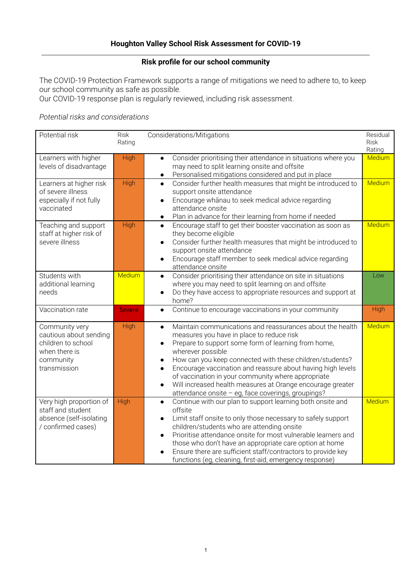## **Risk profile for our school community**

The COVID-19 Protection Framework supports a range of mitigations we need to adhere to, to keep our school community as safe as possible.

Our COVID-19 response plan is regularly reviewed, including risk assessment.

## *Potential risks and considerations*

| Potential risk                                                                                               | <b>Risk</b><br>Rating | Considerations/Mitigations                                                                                                                                                                                                                                                                                                                                                                                                                                                                                                                               | Residual<br><b>Risk</b><br>Rating |
|--------------------------------------------------------------------------------------------------------------|-----------------------|----------------------------------------------------------------------------------------------------------------------------------------------------------------------------------------------------------------------------------------------------------------------------------------------------------------------------------------------------------------------------------------------------------------------------------------------------------------------------------------------------------------------------------------------------------|-----------------------------------|
| Learners with higher<br>levels of disadvantage                                                               | High                  | Consider prioritising their attendance in situations where you<br>$\bullet$<br>may need to split learning onsite and offsite<br>Personalised mitigations considered and put in place<br>$\bullet$                                                                                                                                                                                                                                                                                                                                                        | Medium                            |
| Learners at higher risk<br>of severe illness<br>especially if not fully<br>vaccinated                        | High                  | Consider further health measures that might be introduced to<br>$\bullet$<br>support onsite attendance<br>Encourage whānau to seek medical advice regarding<br>$\bullet$<br>attendance onsite<br>Plan in advance for their learning from home if needed<br>$\bullet$                                                                                                                                                                                                                                                                                     | Medium                            |
| Teaching and support<br>staff at higher risk of<br>severe illness                                            | High                  | Encourage staff to get their booster vaccination as soon as<br>$\bullet$<br>they become eligible<br>Consider further health measures that might be introduced to<br>$\bullet$<br>support onsite attendance<br>Encourage staff member to seek medical advice regarding<br>$\bullet$<br>attendance onsite                                                                                                                                                                                                                                                  | Medium                            |
| Students with<br>additional learning<br>needs                                                                | Medium                | Consider prioritising their attendance on site in situations<br>$\bullet$<br>where you may need to split learning on and offsite<br>Do they have access to appropriate resources and support at<br>$\bullet$<br>home?                                                                                                                                                                                                                                                                                                                                    | Low                               |
| Vaccination rate                                                                                             | <b>Severe</b>         | Continue to encourage vaccinations in your community<br>$\bullet$                                                                                                                                                                                                                                                                                                                                                                                                                                                                                        | High                              |
| Community very<br>cautious about sending<br>children to school<br>when there is<br>community<br>transmission | High                  | Maintain communications and reassurances about the health<br>$\bullet$<br>measures you have in place to reduce risk<br>Prepare to support some form of learning from home,<br>$\bullet$<br>wherever possible<br>How can you keep connected with these children/students?<br>$\bullet$<br>Encourage vaccination and reassure about having high levels<br>$\bullet$<br>of vaccination in your community where appropriate<br>Will increased health measures at Orange encourage greater<br>$\bullet$<br>attendance onsite - eg, face coverings, groupings? | Medium                            |
| Very high proportion of<br>staff and student<br>absence (self-isolating<br>/ confirmed cases)                | High                  | Continue with our plan to support learning both onsite and<br>$\bullet$<br>offsite<br>Limit staff onsite to only those necessary to safely support<br>$\bullet$<br>children/students who are attending onsite<br>Prioritise attendance onsite for most vulnerable learners and<br>$\bullet$<br>those who don't have an appropriate care option at home<br>Ensure there are sufficient staff/contractors to provide key<br>functions (eg, cleaning, first-aid, emergency response)                                                                        | Medium                            |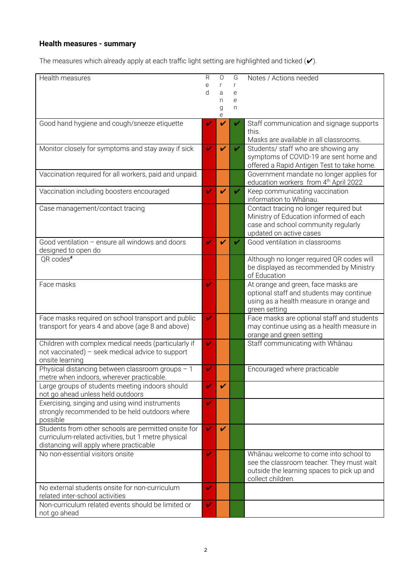## **Health measures - summary**

The measures which already apply at each traffic light setting are highlighted and ticked  $(\checkmark)$ .

| Health measures                                        | R              | $\Omega$                                   | G | Notes / Actions needed                                      |
|--------------------------------------------------------|----------------|--------------------------------------------|---|-------------------------------------------------------------|
|                                                        | e              | r                                          | r |                                                             |
|                                                        | d              | a                                          | e |                                                             |
|                                                        |                | n                                          | e |                                                             |
|                                                        |                | g                                          | n |                                                             |
|                                                        |                | $\mathsf{e}% _{0}\left( \mathsf{e}\right)$ |   |                                                             |
| Good hand hygiene and cough/sneeze etiquette           | Ø              | V                                          |   | Staff communication and signage supports                    |
|                                                        |                |                                            |   | this.                                                       |
|                                                        |                |                                            |   | Masks are available in all classrooms.                      |
| Monitor closely for symptoms and stay away if sick     | V              | V                                          | ✔ | Students/ staff who are showing any                         |
|                                                        |                |                                            |   | symptoms of COVID-19 are sent home and                      |
|                                                        |                |                                            |   | offered a Rapid Antigen Test to take home.                  |
| Vaccination required for all workers, paid and unpaid. |                |                                            |   | Government mandate no longer applies for                    |
|                                                        |                |                                            |   | education workers from 4th April 2022                       |
| Vaccination including boosters encouraged              | V              | V                                          | ✓ | Keep communicating vaccination                              |
|                                                        |                |                                            |   | information to Whānau.                                      |
| Case management/contact tracing                        |                |                                            |   | Contact tracing no longer required but                      |
|                                                        |                |                                            |   | Ministry of Education informed of each                      |
|                                                        |                |                                            |   | case and school community regularly                         |
|                                                        |                |                                            |   | updated on active cases                                     |
| Good ventilation - ensure all windows and doors        | $\blacksquare$ | V                                          | ✔ | Good ventilation in classrooms                              |
| designed to open do                                    |                |                                            |   |                                                             |
| QR codes <sup>#</sup>                                  |                |                                            |   | Although no longer required QR codes will                   |
|                                                        |                |                                            |   | be displayed as recommended by Ministry                     |
|                                                        |                |                                            |   | of Education                                                |
| Face masks                                             | ✓              |                                            |   | At orange and green, face masks are                         |
|                                                        |                |                                            |   |                                                             |
|                                                        |                |                                            |   | optional staff and students may continue                    |
|                                                        |                |                                            |   | using as a health measure in orange and                     |
|                                                        | V              |                                            |   | green setting<br>Face masks are optional staff and students |
| Face masks required on school transport and public     |                |                                            |   |                                                             |
| transport for years 4 and above (age 8 and above)      |                |                                            |   | may continue using as a health measure in                   |
|                                                        |                |                                            |   | orange and green setting                                    |
| Children with complex medical needs (particularly if   | V              |                                            |   | Staff communicating with Whanau                             |
| not vaccinated) - seek medical advice to support       |                |                                            |   |                                                             |
| onsite learning                                        |                |                                            |   |                                                             |
| Physical distancing between classroom groups - 1       | V              |                                            |   | Encouraged where practicable                                |
| metre when indoors, wherever practicable.              |                |                                            |   |                                                             |
| Large groups of students meeting indoors should        | w              | V                                          |   |                                                             |
| not go ahead unless held outdoors                      |                |                                            |   |                                                             |
| Exercising, singing and using wind instruments         | V              |                                            |   |                                                             |
| strongly recommended to be held outdoors where         |                |                                            |   |                                                             |
| possible                                               |                |                                            |   |                                                             |
| Students from other schools are permitted onsite for   | $\mathbf{v}$   | $\boldsymbol{\mathcal{U}}$                 |   |                                                             |
| curriculum-related activities, but 1 metre physical    |                |                                            |   |                                                             |
| distancing will apply where practicable                |                |                                            |   |                                                             |
| No non-essential visitors onsite                       | V              |                                            |   | Whānau welcome to come into school to                       |
|                                                        |                |                                            |   | see the classroom teacher. They must wait                   |
|                                                        |                |                                            |   | outside the learning spaces to pick up and                  |
|                                                        |                |                                            |   | collect children.                                           |
| No external students onsite for non-curriculum         | V              |                                            |   |                                                             |
| related inter-school activities                        |                |                                            |   |                                                             |
| Non-curriculum related events should be limited or     | v              |                                            |   |                                                             |
| not go ahead                                           |                |                                            |   |                                                             |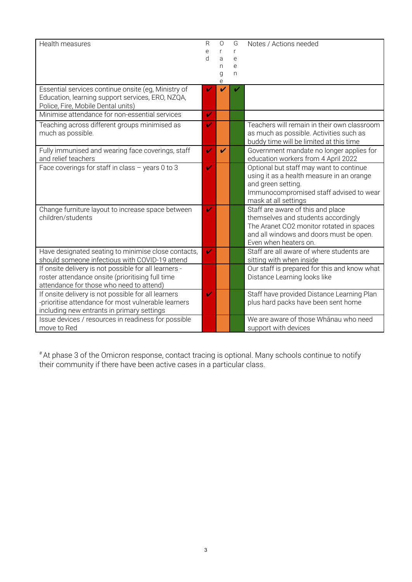| Health measures                                                                                                                                          | R<br>e<br>d  | 0<br>r<br>a<br>n<br>g<br>е | G<br>r<br>e<br>e<br>n | Notes / Actions needed                                                                                                                                                                   |
|----------------------------------------------------------------------------------------------------------------------------------------------------------|--------------|----------------------------|-----------------------|------------------------------------------------------------------------------------------------------------------------------------------------------------------------------------------|
| Essential services continue onsite (eg, Ministry of<br>Education, learning support services, ERO, NZQA,<br>Police, Fire, Mobile Dental units)            | ✓            | ✔                          |                       |                                                                                                                                                                                          |
| Minimise attendance for non-essential services                                                                                                           | $\mathbf{v}$ |                            |                       |                                                                                                                                                                                          |
| Teaching across different groups minimised as<br>much as possible.                                                                                       | ✔            |                            |                       | Teachers will remain in their own classroom<br>as much as possible. Activities such as<br>buddy time will be limited at this time                                                        |
| Fully immunised and wearing face coverings, staff<br>and relief teachers                                                                                 | $\mathbf{v}$ | $\boldsymbol{\nu}$         |                       | Government mandate no longer applies for<br>education workers from 4 April 2022                                                                                                          |
| Face coverings for staff in class - years 0 to 3                                                                                                         | Z            |                            |                       | Optional but staff may want to continue<br>using it as a health measure in an orange<br>and green setting.<br>Immunocompromised staff advised to wear<br>mask at all settings            |
| Change furniture layout to increase space between<br>children/students                                                                                   | ✔            |                            |                       | Staff are aware of this and place<br>themselves and students accordingly<br>The Aranet CO2 monitor rotated in spaces<br>and all windows and doors must be open.<br>Even when heaters on. |
| Have designated seating to minimise close contacts,<br>should someone infectious with COVID-19 attend                                                    | $\mathbf{v}$ |                            |                       | Staff are all aware of where students are<br>sitting with when inside                                                                                                                    |
| If onsite delivery is not possible for all learners -<br>roster attendance onsite (prioritising full time<br>attendance for those who need to attend)    |              |                            |                       | Our staff is prepared for this and know what<br>Distance Learning looks like                                                                                                             |
| If onsite delivery is not possible for all learners<br>-prioritise attendance for most vulnerable learners<br>including new entrants in primary settings | v            |                            |                       | Staff have provided Distance Learning Plan<br>plus hard packs have been sent home                                                                                                        |
| Issue devices / resources in readiness for possible<br>move to Red                                                                                       |              |                            |                       | We are aware of those Whanau who need<br>support with devices                                                                                                                            |

#At phase 3 of the Omicron response, contact tracing is optional. Many schools continue to notify their community if there have been active cases in a particular class.